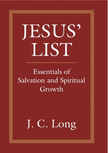# **Essentials of** Salvation and Spiritual Growth

J. C. Long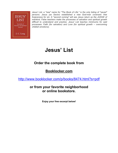

*Jesus' List, a "new" name for "The Book of Life," is the only listing of "saved" persons. Jesus (as Savior) established a new God-man covenant: free forgiveness for sin. A "second coming" will see Jesus return as the JUDGE of mankind. False teachers make the processes of salvation and spiritual growth difficult to understand and practice. Jesus' List teaches minimums for said processes: Faith (for salvation) and Love (for spiritual growth -- overcoming childish emotions).*

# **Jesus' List**

# **Order the complete book from**

### **Booklocker.com**

http://www.booklocker.com/p/books/8474.html?s=pdf

### **or from your favorite neighborhood or online bookstore.**

**Enjoy your free excerpt below!**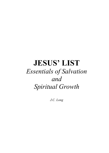# **JESUS' LIST**  *Essentials of Salvation and Spiritual Growth*

*J.C. Long*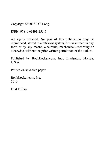Copyright © 2016 J.C. Long

ISBN: 978-1-63491-156-6

All rights reserved. No part of this publication may be reproduced, stored in a retrieval system, or transmitted in any form or by any means, electronic, mechanical, recording or otherwise, without the prior written permission of the author.

Published by BookLocker.com, Inc., Bradenton, Florida,  $U.S.A$ 

Printed on acid-free paper.

BookLocker.com, Inc. 2016

First Edition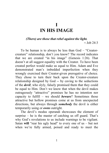### **I IN HIS IMAGE**

#### *(There) are those that rebel against the light.*  $\sim$  Iob 24.3

To be human is to always be less than God – "Creatorcreature" relationship, don't you know? The record indicates that we are created "in his image" (Genesis 1:26). That doesn't at all suggest equality with the Creator. To have been created perfect would make us equal to Him. Adam and Eve demonstrated man's imbedded imperfection when they wrongly exercised their Creator-given prerogative of choice. They chose to turn their back upon the Creator-creature relationship designed by God -- by caving to the seductions of the *devil*; who slyly, falsely promised them that they could be equal to Him. Don't we know that when the devil makes outrageously "attractive" promises he has no intention nor capacity to fulfill – we should *beware*? Sometimes those attractive but hollow promises come at us from unexpected directions, but always through *somebody* the devil is either temporarily using or *owns* outright.

The devil's modus operandi showcases the element of surprise – he is the master of catching us off guard. That's why God's revelations to us include warnings to be vigilant. Satan **will** "rear his ugly head" to every one of us – but not when we're fully armed, poised and ready to meet the

1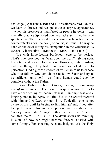challenge (Ephesians 6:10ff and I Thessalonians 5:8). Unless: we learn to foresee and recognize those surprise appearances -- when his presence is manifested in people he owns -- and mentally practice Spirit-led counterattacks until they become spontaneous. The true model for learning to launch effective counterattacks upon the devil, of course, is Jesus. The way he handled the devil during his "temptation in the wilderness" is especially instructive -- (Matthew 4, Mark 1, and Luke 4).

We with imperfection burdened, *want* to be perfect. That's fine, provided we "wait upon the Lord", relying upon his total, undeserved forgiveness. However; Satan, Adam, and Eve thought they had found some sort of shortcut to perfection. God's gift of freedom-of-will enables us to choose whom to follow. One *can* choose to follow Satan and try to be sufficient unto self – as if any human could ever be complete without the Father.

But our Father reaches out to us, desiring to draw *every one of us* to himself. Therefore, it is quite natural for us to have a deep feeling of incompleteness -- an emptiness and a longing, not to be *equal* to Him, but to be *united/reunited* with him and *fulfilled* through him. Typically, one is not aware of this until he begins to find himself unfulfilled after trying to satisfy his inner emptiness with creations (i.e. "money, power, stuff/things") rather than with the Creator. I call this the "IT FACTOR". The devil shows us tempting illusions of how we might become forever satisfied with some "thing". For shocking relevant insights, ask the Holy

2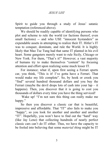Spirit to guide you through a study of Jesus' satanic temptation (referenced above).

We should be readily capable of identifying persons who plot and scheme to rule the world (or factions thereof, even small factions) -- and who USE "innocent bystanders" as expendable assets in attempting to realize their IT. Hitler's IT was to conquer, dominate, and rule the World. It is highly likely that Mao Tse Tung had that same IT planted in his evil heart. Some gangsters merely want to rule Sicily, Chicago or New York. For them, "That's it!" However; a vast majority of humans try to make themselves "content" by focusing attention and effort upon realizing some much lesser IT.

For instance; what if, upon first seeing a Ferrari sports car, you think, "This is it! I've gotta have a Ferrari. That would make my life complete". So, by hook or crook you "find" several hundred thousand dollars and you buy the Ferrari (maybe the devil drops lots of cash into your  $lap - it$ happens). Then, you discover that it is going to cost you thousands of dollars every time you have the thing serviced!

 Wake up! "I'm not sure this thing can really make me happy."

So then you discover a classic car that is beautiful, impressive and affordable. That "IT" also fails to make you "happy", so you look for another and another and another "IT". Hopefully, you won't have to find out the "hard" way (like Jay Leno) that collecting hundreds of nearly perfect classic cars can't do IT either. Thus, we have the capacity to be fooled into believing that some *material thing* might be IT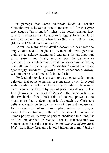#### *J.C. Long*

– or perhaps that some *endeavor* (such as secular philanthropy) is it. Some "good" persons fall for this *after* they acquire "got-it-made" riches. The pocket change they give to charities seems like a lot to us regular folks; but Jesus says that the poor widow's two mites (half a penny) are more (Matthew 12:42-43 and Luke 21:2-3).

 After too many of the devil's decoy IT's have left one empty, one should begin to discover his own personal pathway to acknowledging and engaging his all-important sixth sense – and finally embark upon the pathway to genuine, forever wholeness. Christians know this as "being one with God" – a concept of "perfection" gained by-way-of agonizingly wonderful growing pains experienced *during* what might be left of one's life in the flesh.

Perfectionist tendencies seem to be an observable human behavior that point to human craving gone awry. In accord with my admittedly limited knowledge of Judaism, Jews must try to achieve perfection by way of perfect obedience to The Law (known as "The Book of Moses" – the Pentateuch – the first five books of the Bible). This, of course, proves to be much more than a daunting task. Although we Christians believe we gain perfection by way of free and undeserved forgiveness; many of us, at some place and to some degree along life's continuum, dally with the ancient mind-set of human perfection by way of perfect obedience to a long list of "dos and don'ts". In reality, I see no evidence that we humans even have the capacity "*to rid our soul of one dark blot*" (from Billy Graham's favored invitation hymn, "Just as

4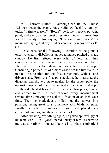I Am", Charlotte Elliott) – although we **do** try. Think: "Clothes make the man", body building, facelifts, tummytucks, "wrinkle erasers", "Botox", perfume, lipstick, powder, paint; and every perfectionist affectation known to man. Just for drill, analyze this saying: "Diamonds are forever" (a manmade saying that any thinker can readily recognize as B. S.).

Please consider the following illustration of the point. I once watched in disbelief as an acquaintance pitched a shade canopy. He first refused every offer of help, and then carefully gauged the sun and its pathway across our field. Then he drove the first stake, and connected a corner rope. Consulting a printed list of dimensions; from the first stake he marked the position for the first corner pole with a hand driven stake. From the first pole position, he measured the diagonal, and drove a stake marker for the center pole, the opposite corner pole, and the second corner stake and rope. He then duplicated his effort for the other two poles, stakes, and corner ropes. He then checked every measurement several times, moving the stakes a fraction of an inch each time. Then he meticulously rolled out the canvas into position, taking great care to remove each blade of grass. Finally, he rather ceremoniously raised and placed each corner pole in turn, and then the center pole.

After tweaking everything again, he gazed approvingly at his handiwork -- as I gazed incredulously at him. It seems to me that to harbor a mindset like his is to plant a minefield

5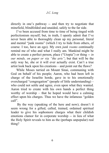directly in one's pathway -- and then try to negotiate that minefield, blindfolded and unaided, safely to the far side.

I've been accused from time to time of being tinged with perfectionism myself; but, in truth, I openly admit that I've never been able to thoroughly clean up my personal, literal and mental "junk rooms" (which I try to hide from others, of course. I too, have an ego). My own *junk rooms* continually remind me of who and what I really am. Mankind might be able to create a perfect person, place ("Utopia") or thing -- *in our minds, on paper or via "the arts"*; but that will be the only way he, she or it will ever actually exist. Can't a true artist look back upon his creations – and point out the flaws?

While Moses tarried on Mount Sinai, communing with God on behalf of his people; Aaron, who had been left in charge of the Israelite horde, gave in to his emotionally overcharged "congregation" (people of little understanding) – who could not settle and agree, even upon what they wanted. Aaron tried to create with his own hands a perfect thing worthy of worship – that he hoped would have a calming effect upon his charges. Thus we have the infamous "golden calf".

 By the way (speaking of the here and now); doesn't it seem wrong for a gifted, called, trained, ordained spiritual leader to give his sophomore charges what their childish emotions clamor for in corporate worship -- in lieu of what the Holy Spirit reveals to him as the (perhaps unpopular) real thing?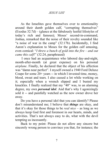As the Israelites gave themselves over to emotionality around their dumb golden calf, "corrupting themselves" (Exodus 32:7d) – (glance at the fabulously lustful lifestyles of today's rich and famous); Moses' second-in-command, Joshua, remarked that the noise of their revelry sounded like "a noise of war in the camp" (32:17b). Incidentally, I find Aaron's explanation to Moses for the golden calf amusing, even comical: "*I threw a bunch of gold into the fire – and out came this calf*!" (32:24, paraphrased)

 I once had an acquaintance who labored day-and-night, month-after-month (at great expense) on his personal *airplane*. Finally, he declared that the object of his affection was "damn near perfect". I myself owned a 1940 Ford Deluxe Coupe for some 20+ years -- in which I invested time, money, blood, sweat and tears. I also cussed a lot while working on it; especially when a wrench slipped and I busted my knuckles. I finally realized that my "40" was, to an alarming degree, my own *personal idol*. And that's why I agonizingly sold it -- and painfully watched as the new owner drove her away.

Do you have a personal idol that you can identify? Please don't misunderstand me; I believe that *things* are okay, and that it's okay for those things to be *real nice* – as long as we always keep God first and foremost in our hearts, minds, and activities. That's not always easy to do, what with the devil tempting us incessantly.

Back to my point: Please do not allow any sincere but sincerely wrong person to convince you that, for instance; the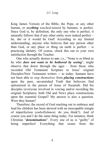#### *J.C. Long*

King James Version of the Bible, the Pope, or any other human, or any*thing touched-tainted* by humans, is perfect. Since God is, by definition, the only one who is perfect; it naturally follows that if any other entity were indeed perfect – he, she or it would be God! According to my limited understanding, anyone who believes that any person other than God, or any place or thing on earth is perfect  $-$  is practicing idolatry. Of course, check this out to your own satisfaction through the Teacher.

One who actually desires to *see*; i.e., "None is so blind as he who *does not want to be bothered by seeing*", might observe that down through the ages – from those who recorded Old Testament Scripture to Jesus' original Disciples/New Testament writers -- to today: humans have not been able to *stop themselves* from *placing constructions* upon the pure, unvarnished Truth that believers find epitomized in the person of Jesus of Nazareth. Did his disciples (everyone involved in voicing and/or recording the original Scriptures, both Old and New) place constructions upon the essential Gospel? My answer is also a question. Were they human?

Therefore; the record of God reaching out to embrace and lead his children has been skewed with an inescapable mingle of imperfection (*embellishment*, do you think?). And of course you and I do the same thing today. For instance, think Christian "*denominations*". Every one of us is "guilty" of being imperfect! Everything that issues from the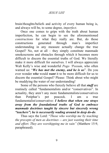brain/thoughts/beliefs and activity of every human being is, and always will be, to some degree, *imperfect*.

Once one comes to grips with the truth about human imperfection, he can begin to see the aforementioned *constructions* for what they really are. But, do those constructions generated through man's imperfect understanding in any measure actually change the true Gospel? No, not at all – they simply constitute manmade smokescreens and obstacles through which it becomes more difficult to discern the essential truths of God. We literally make it more difficult for ourselves. I will always appreciate Walt Kelly's wise and wonderful *Pogo 'Possum*, who often warned us: "*We has met the enemy, and he is us*". Do you ever wonder *who* would *want* it to be more difficult for us to discern the essential Gospel? Please: Think about who might be muddying the water of our understanding!

Some of the persons who fiercely believe all that *stuff* are routinely called "fundamentalists and/or "conservatives". In actuality, they aren't any more fundamentalists/conservatives than Potiphar's pet peacock. I am a true fundamentalist/conservative: *I believe that when one strays away from the foundational truths of God to embrace manmade doctrines taught by sincere but sincerely wrong "teachers"; he is necessarily wading around in deep do-do*.

Thus says the Lord: "*Those who worship me by teaching the precepts of men as doctrines -- are just wasting their time and effort. They are worshipping me in vain"* (Matthew 15:9, paraphrased).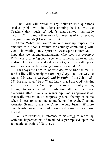The Lord will reveal to any believer who questions (makes up his own mind after examining the facts with the Teacher) that much of today's man-wanted, man-made "worship" is no more than an awful noise, as of insufferable, clanging, cymbals (I Corinthians 13).

Often "what we want" in our worship experiences amounts to a poor substitute for actually communing with God – indwelling Holy Spirit to Great Spirit Father-God. I hope that we parents/grandparents who *give our precious little ones everything they want* will someday wake up and realize: Hey! Our Father-God does not give us everything we want – so have we been doing harm to our children?

Thus says the Lord: "One who desires to find the real IT for his life will worship me *the way I say* – not the way he wants! My way is "*in spirit and in truth*" (from John 4:23- 24). He also says, "Be *still* and know that I am God" (Psalm 46:10). It seems that God might have some difficulty getting through to someone who is vibrating all over the place clamoring after *excitement* in worship. God's approval is all that really matters; but it conjures up a bad feeling inside me when I hear folks talking about being "so excited" about worship. Seems to me the Church would benefit if more church folks would just settle down and actually draw close to God.

William Faulkner, in reference to his struggles in dealing with the imperfections of mankind superimposed upon the foundational truths of God, says: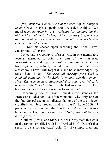[We] *must teach ourselves that the basest of all things is to be afraid* [to speak openly about revealed truth] *...* [We must] *leave no room in* [our] *workshop for anything but the old verities and truths lacking which any story is ephemeral and doomed – love and honor and pity and pride and compassion and sacrifice*.

 $\sim$  From his speech upon receiving the Nobel Prize. Stockholm, 12/ 10/1950

I once had a Geology professor who, in one memorable lecture, attempted to point out some of the "mistakes, inconsistencies, and imperfections" he found in the Bible. I (a true *sophomore*) actually called him down in that arena classroom. I never will forget it. Once he acknowledged my raised hand; I said, "*The essential message from God to mankind contained in the Bible is without any flaw of any kind. The way humans apprehended it and recorded it is demonstrably flawed*". That insight had to come from God, because the devil does not want us to know that!

 Concerning one of those Biblical inconsistencies the Professor alluded to; I've often wondered why only one of the four Gospel accounts indicates that one of the two thieves crucified with Jesus repents and is "saved". Luke 23:39-43 gives us the well-known "thief on the cross", who confesses belief in the Lord and is saved, i.e. "*Today you will be with me in paradise"*.

Matthew (27:44) and Mark (15:32) clearly state that *both* of the robbers crucified with him "reviled him". Doesn't that seem to be a contradiction? John (19:18) simply mentions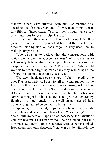that two others were crucified with him. No mention of a "deathbed confession". Can any of my readers bring light to this Biblical "inconsistency"? If so, then I might have a few other questions for you to help clear up.

By the way, there is an excellent book, Gospel Parallels (which I think is still in print) that lays out the four Gospel accounts, side-by-side, on each page – a very useful aid to making comparisons.

Who wants us to believe that the constructions with which we burden the Gospel are true? Who wants us to vehemently believe that matters peripheral to the essential Gospel are so all-fired important? (Pun intended). Who would want us to become fighting mad at anybody who brings these "fringe" beliefs into question? Guess who!

The devil instigates every church fight – including the ones I've been party to. I used to tell my congregation: If the Lord is in this place, it's because someone *brought* Him here – someone who has the Holy Spirit residing in his heart. And if (when) the devil is in evidence in the church, it's because someone brought him in. The devil can't get into a church by floating in through cracks in the wall on particles of dust. Some wrong-hearted person has to bring him in.

Speaking of peripheral, religious beliefs; tell me: Exactly how, when and where does Jesus teach "tee-totaling"? How about "full immersion baptism" as necessary for salvation? One can become a Christian without being dunked; but can't join most Southern Baptist Churches without being dunked. How about men-only deacons? What can we do with little-ole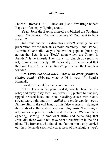Phoebe? (Romans 16:1). These are just a few fringe beliefs Baptists often enjoy fighting about.

 Yeah! John the Baptist himself established the Southern Baptist Convention! You don't believe it? You want to fight about it?

Did Jesus and/or his disciples (Peter?) actually do site preparation for the Roman Catholic hierarchy – the "Pope", "Cardinals" and all? Do you believe the popular (but silly) notion that Peter is the "Rock" upon which the Church is founded? Is he indeed? Then mark that church as certain to rot, crumble, and utterly fall! Personally, I'm convinced that the Lord Jesus Christ is the "Rock" upon which the Church is founded.

**"***On Christ the Solid Rock I stand; all other ground is sinking sand.***" (**Edward Mote, #406 in your '91 Baptist Hymnal).

I wonder if I could get an *Amen* to that?

Picture Jesus in his plain, soiled, sweaty, hand woven robe; and dusty, dirty feet – or, better still; picture him naked, ripped, bruised black and blue, bleeding, caked with blood, sweat, tears, spit, and dirt – *nailed* to a crude wooden cross. Picture Him in the evil hands of his false accusers -- dying at the hands of self-absorbed, shallow religionists. That's right, religionists – priests, scribes and Pharisees. Without them agitating, stirring up emotional strife, and demanding that Jesus die, there would not have been a crucifixion in the first place. The Romans, who found "no fault in him", only carried out their demands (political correctness of the religious type).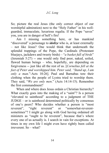So; picture the real Jesus (the only correct object of our worshipful admiration) next to the "Holy Father" in his wellguarded, immaculate, luxurious regalia. If the Pope "saves" you, you are in danger of hell's fire!

Am I missing something here, or has mankind "discovered" a personage to *idolize* who is, at least externally – not like Jesus? One would think that underneath the splendid trappings of the Pope, the Cardinals (Protestant bluejays, jackdaws and tweety birds) – "*a basket full of birds*" (Jeremiah 5:27) -- one would only find poor, naked, soiled, flawed human beings – who, hopefully, are depending on forgiveness -- just like all the rest of us. [*Cornelius fell at the feet of Peter and worshipped him. Peter said, "Stand up, I am only a man.*"-Acts 10:26]. Paul and Barnabas tore their clothing when the people of Lystra tried to worship them. They said, "*We are only men*." (Acts 14:14-15). Remember the first commandment?

When and where does Jesus ordain a Christian hierarchy? What exactly goes into the making of a "saint"? Is a person "elevated to sainthood" according to a judgment of THE JUDGE – or is sainthood determined politically by consensus of one's peers? Who decides whether a person is "most reverent", "right reverent" or "somewhat-reverent-"right reverent" or "somewhat-reverentsometimes"? I might go along with God having ordained all ministers as "ought to be reverent", because that's where every one of us actually is. I search in vain for exceptions. At times in my own life I might even have rightly been called irreverent. So – what?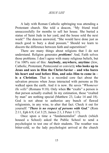A lady with Roman Catholic upbringing was attending a Protestant church. She told a deacon, "My friend tried unsuccessfully for months to sell her house. She buried a statue of Saint Jude in her yard, and the house sold the next week!" The deacon answered, "She would have done just as much good to bury a dead possum." Should we learn to discern the difference between faith and superstition?

There are many things about religions that I do not understand. Religion generates *problems*! And, Faith solves those problems. I don't agree with many religious beliefs, but I'm 100% sure of this: **Anybody, anywhere, anytime** (Jew, Catholic, Protestant, Pentecostal or convict)**; who looks up to Jesus and sees in Him the Christ-Savior – and who bares his heart and soul before Him, and asks Him to come in – is a Christian**. That is a recorded core fact about the salvation process when Jesus interacted with persons as He walked upon the earth. And it is now. He saves "*Whomever He wills*" (Romans 9:18). Only when **He** "exalts" a person is that person actually exalted. In my estimation, those "exalted by man" are nothing special (Matthew 23, Luke 14 and 18). God is not about to authorize any bunch of flawed religionists, in any wise, to alter that fact. Check it out for yourself: "*There is no respect of persons with God*." (Rom 2:11, Eph 6:9, Col 3:25, James 2:1, I Peter 1:17).

Once upon a time a "fundamentalist" church (which housed a School) asked the Public School to send a psychologist to test one of their students. The weather was bitter-cold, so the lady psychologist arrived at the church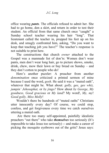office wearing *pants*. The officials refused to admit her. She had to go home, don a skirt, and return in order to test their student. An official from that same church once "caught" a Sunday school teacher wearing his hair "long". That lieutenant called the teacher in, propped his feet up on his desk, and smugly confronted him, asking, "Do you want to keep that teaching job you have?" The teacher's response is not suitable to print here.

The constructions that church *owner* attached to the Gospel was a manmade list of don'ts: Women don't wear pants, men don't wear long hair, go to picture shows, smoke, drink, chew, mow their lawn or buy bread on Sunday – and they don't cotton to people who do!

Here's another puzzler: A preacher from another *denomination* once criticized a printed sermon of mine because I used the word, *gosh*. He said it was a "muted oath", whatever that might be. What about: *golly, gee, gee whiz, jumpin' Jehosaphat,* or *by jingo?* How about *by George*, *My goodness, Good gracious* or *My land*? My word!, *My, my*! *Good golly, Miss Molly*!

Wouldn't there be hundreds of "muted oaths" Christians utter innocently every day? Of course, we could stop, confess, and get forgiveness every time we catch ourselves uttering a muted oath.

 Are there too many self-appointed, painfully idealistic preachers "out there" who take *themselves* too seriously (It's impossible to take Jesus too seriously) -- and make a career of picking the mosquito eyebrows out of the grits? Jesus says: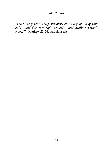"*You blind guides! You fastidiously strain a gnat out of your milk – and then turn right around -- and swallow a whole camel*!" (Matthew 23:24, paraphrased).